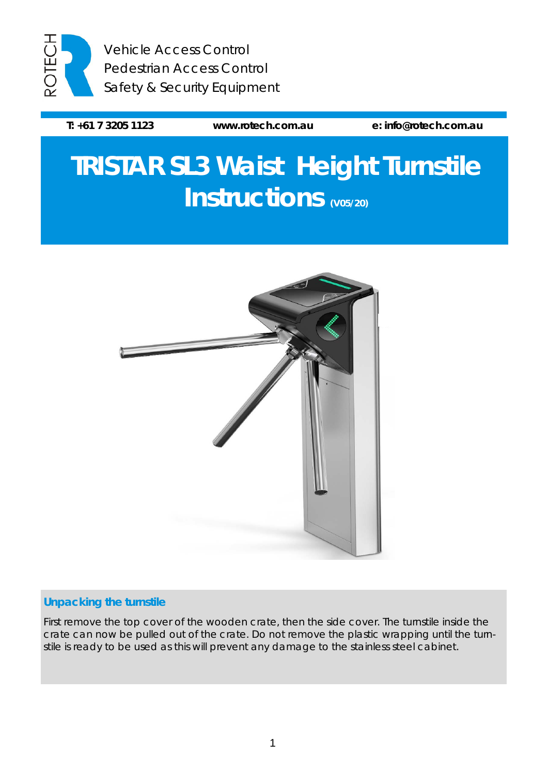

Vehicle Access Control Pedestrian Access Control Safety & Security Equipment

**T: +61 7 3205 1123 [www.rotech.com.au](http://www.rotech.com.au/) e: [info@rotech.com.au](mailto:info@rotech.com.au)**

# **TRISTAR SL3 Waist Height Turnstile Instructions (V05/20)**



## **Unpacking the turnstile**

First remove the top cover of the wooden crate, then the side cover. The turnstile inside the crate can now be pulled out of the crate. Do not remove the plastic wrapping until the turnstile is ready to be used as this will prevent any damage to the stainless steel cabinet.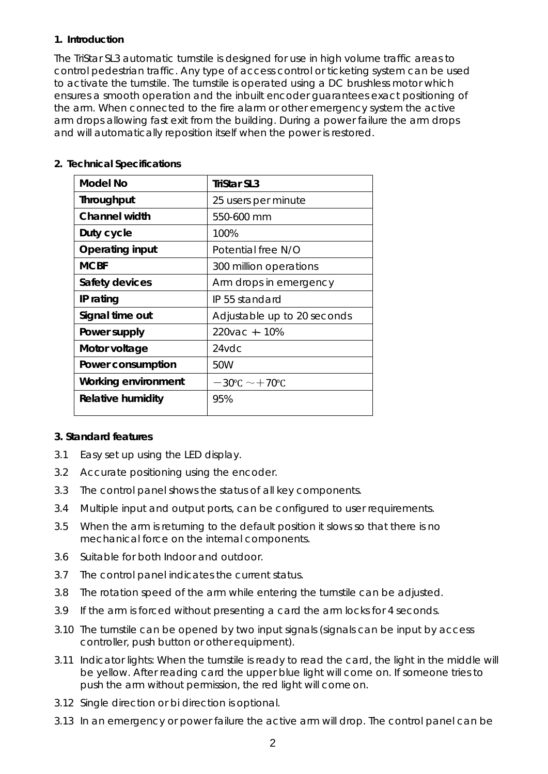#### **1. Introduction**

The TriStar SL3 automatic turnstile is designed for use in high volume traffic areas to control pedestrian traffic. Any type of access control or ticketing system can be used to activate the turnstile. The turnstile is operated using a DC brushless motor which ensures a smooth operation and the inbuilt encoder guarantees exact positioning of the arm. When connected to the fire alarm or other emergency system the active arm drops allowing fast exit from the building. During a power failure the arm drops and will automatically reposition itself when the power is restored.

| <b>Model No</b>            | TriStar SL3                            |  |
|----------------------------|----------------------------------------|--|
| <b>Throughput</b>          | 25 users per minute                    |  |
| <b>Channel width</b>       | 550-600 mm                             |  |
| Duty cycle                 | 100%                                   |  |
| <b>Operating input</b>     | Potential free N/O                     |  |
| <b>MCBF</b>                | 300 million operations                 |  |
| Safety devices             | Arm drops in emergency                 |  |
| IP rating                  | IP 55 standard                         |  |
| Signal time out            | Adjustable up to 20 seconds            |  |
| Power supply               | 220 vac + - 10%                        |  |
| Motor voltage              | $24$ vdc                               |  |
| Power consumption          | 50W                                    |  |
| <b>Working environment</b> | $-30^{\circ}$ C $\sim$ $+70^{\circ}$ C |  |
| <b>Relative humidity</b>   | 95%                                    |  |

## **2. Technical Specifications**

#### **3. Standard features**

- 3.1 Easy set up using the LED display.
- 3.2 Accurate positioning using the encoder.
- 3.3 The control panel shows the status of all key components.
- 3.4 Multiple input and output ports, can be configured to user requirements.
- 3.5 When the arm is returning to the default position it slows so that there is no mechanical force on the internal components.
- 3.6 Suitable for both Indoor and outdoor.
- 3.7 The control panel indicates the current status.
- 3.8 The rotation speed of the arm while entering the turnstile can be adjusted.
- 3.9 If the arm is forced without presenting a card the arm locks for 4 seconds.
- 3.10 The turnstile can be opened by two input signals (signals can be input by access controller, push button or other equipment).
- 3.11 Indicator lights: When the turnstile is ready to read the card, the light in the middle will be yellow. After reading card the upper blue light will come on. If someone tries to push the arm without permission, the red light will come on.
- 3.12 Single direction or bi direction is optional.
- 3.13 In an emergency or power failure the active arm will drop. The control panel can be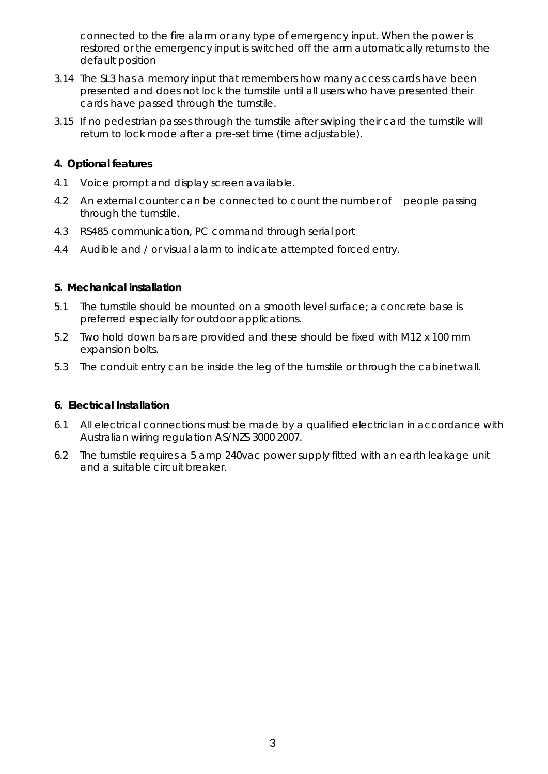connected to the fire alarm or any type of emergency input. When the power is restored or the emergency input is switched off the arm automatically returns to the default position

- 3.14 The SL3 has a memory input that remembers how many access cards have been presented and does not lock the turnstile until all users who have presented their cards have passed through the turnstile.
- 3.15 If no pedestrian passes through the turnstile after swiping their card the turnstile will return to lock mode after a pre-set time (time adjustable).

#### **4. Optional features**

- 4.1 Voice prompt and display screen available.
- 4.2 An external counter can be connected to count the number of people passing through the turnstile.
- 4.3 RS485 communication, PC command through serial port
- 4.4 Audible and / or visual alarm to indicate attempted forced entry.

#### **5. Mechanical installation**

- 5.1 The turnstile should be mounted on a smooth level surface; a concrete base is preferred especially for outdoor applications.
- 5.2 Two hold down bars are provided and these should be fixed with M12 x 100 mm expansion bolts.
- 5.3 The conduit entry can be inside the leg of the turnstile or through the cabinetwall.

## **6. Electrical Installation**

- 6.1 All electrical connections must be made by a qualified electrician in accordance with Australian wiring regulation AS/NZS 3000 2007.
- 6.2 The turnstile requires a 5 amp 240vac power supply fitted with an earth leakage unit and a suitable circuit breaker.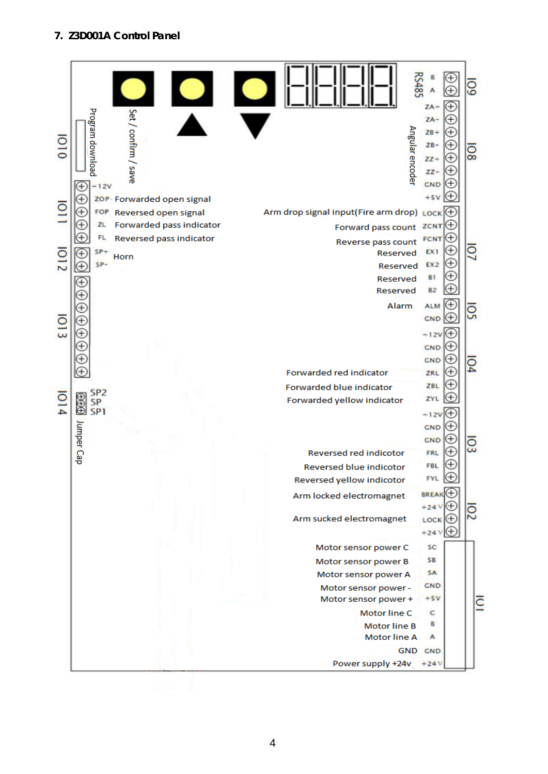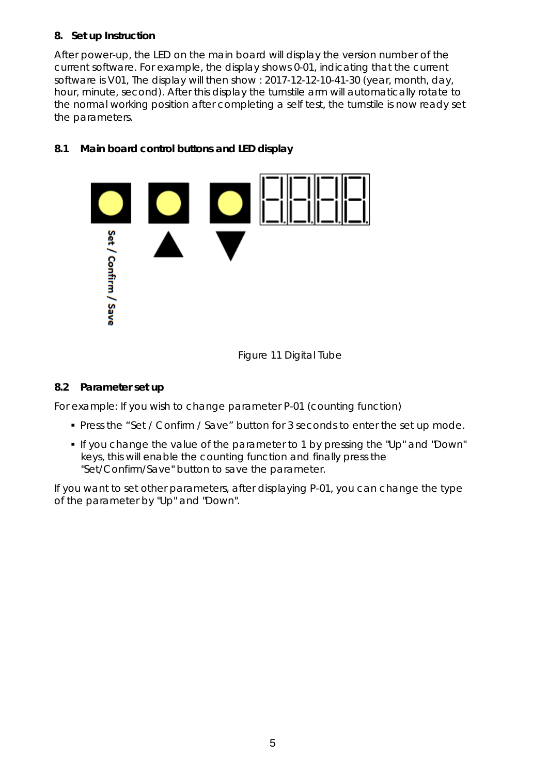## **8. Set up Instruction**

After power-up, the LED on the main board will display the version number of the current software. For example, the display shows 0-01, indicating that the current software is V01, The display will then show : 2017-12-12-10-41-30 (year, month, day, hour, minute, second). After this display the turnstile arm will automatically rotate to the normal working position after completing a self test, the turnstile is now ready set the parameters.

## **8.1 Main board control buttons and LED display**



Figure 11 Digital Tube

## **8.2 Parameter set up**

*For example:* If you wish to change parameter P-01 (counting function)

- **Press the "Set / Confirm / Save" button for 3 seconds to enter the set up mode.**
- If you change the value of the parameter to 1 by pressing the "Up" and "Down" keys, this will enable the counting function and finally press the "Set/Confirm/Save" button to save the parameter.

If you want to set other parameters, after displaying P-01, you can change the type of the parameter by "Up" and "Down".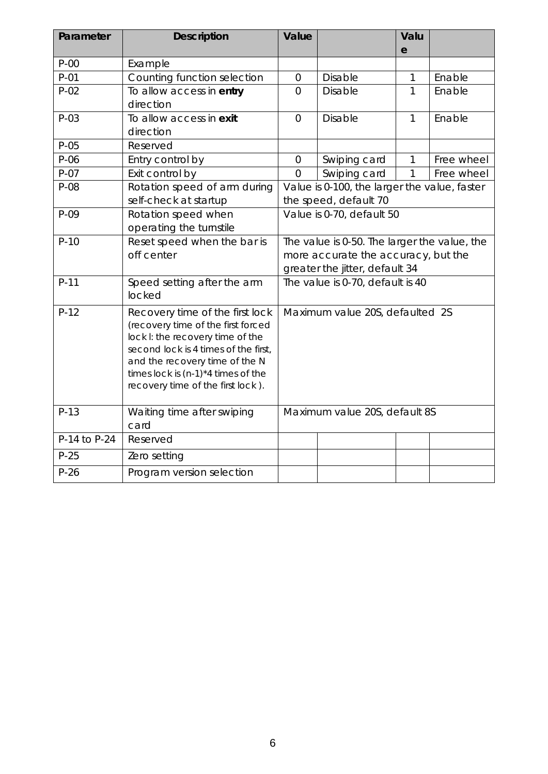| Parameter    | <b>Description</b>                                                                                                                                                                                                                                               | Value                                                                                                                 |                | Valu<br>e    |            |
|--------------|------------------------------------------------------------------------------------------------------------------------------------------------------------------------------------------------------------------------------------------------------------------|-----------------------------------------------------------------------------------------------------------------------|----------------|--------------|------------|
| $P-00$       | Example                                                                                                                                                                                                                                                          |                                                                                                                       |                |              |            |
| $P-01$       | Counting function selection                                                                                                                                                                                                                                      | $\overline{0}$                                                                                                        | <b>Disable</b> | 1            | Enable     |
| $P-02$       | To allow access in entry<br>direction                                                                                                                                                                                                                            | $\overline{0}$                                                                                                        | Disable        | $\mathbf{1}$ | Enable     |
| $P-03$       | To allow access in exit<br>direction                                                                                                                                                                                                                             | $\overline{0}$                                                                                                        | <b>Disable</b> | 1            | Enable     |
| $P-05$       | Reserved                                                                                                                                                                                                                                                         |                                                                                                                       |                |              |            |
| $P-06$       | Entry control by                                                                                                                                                                                                                                                 | $\mathbf 0$                                                                                                           | Swiping card   | 1            | Free wheel |
| $P-07$       | Exit control by                                                                                                                                                                                                                                                  | $\overline{0}$                                                                                                        | Swiping card   | 1            | Free wheel |
| P-08         | Rotation speed of arm during<br>self-check at startup                                                                                                                                                                                                            | Value is 0-100, the larger the value, faster<br>the speed, default 70                                                 |                |              |            |
| $P-09$       | Rotation speed when<br>operating the turnstile                                                                                                                                                                                                                   | Value is 0-70, default 50                                                                                             |                |              |            |
| $P-10$       | Reset speed when the bar is<br>off center                                                                                                                                                                                                                        | The value is 0-50. The larger the value, the<br>more accurate the accuracy, but the<br>greater the jitter, default 34 |                |              |            |
| $P-11$       | Speed setting after the arm<br>locked                                                                                                                                                                                                                            | The value is 0-70, default is 40                                                                                      |                |              |            |
| $P-12$       | Recovery time of the first lock<br>(recovery time of the first forced<br>lock I: the recovery time of the<br>second lock is 4 times of the first,<br>and the recovery time of the N<br>times lock is $(n-1)*4$ times of the<br>recovery time of the first lock). | Maximum value 20S, defaulted 2S                                                                                       |                |              |            |
| $P-13$       | Waiting time after swiping<br>card                                                                                                                                                                                                                               | Maximum value 20S, default 8S                                                                                         |                |              |            |
| P-14 to P-24 | Reserved                                                                                                                                                                                                                                                         |                                                                                                                       |                |              |            |
| $P-25$       | Zero setting                                                                                                                                                                                                                                                     |                                                                                                                       |                |              |            |
| $P-26$       | Program version selection                                                                                                                                                                                                                                        |                                                                                                                       |                |              |            |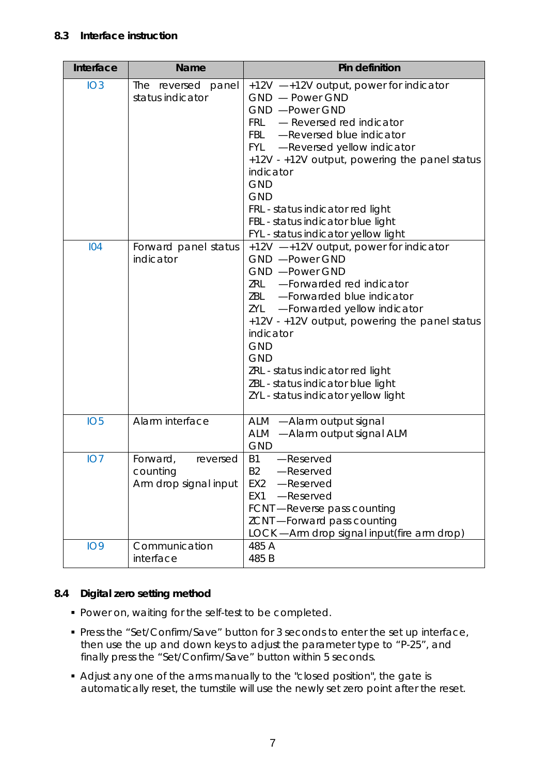## **8.3 Interface instruction**

| Interface       | <b>Name</b>                                               | Pin definition                                                                                                                                                                                                                                                                                                                                                                                 |
|-----------------|-----------------------------------------------------------|------------------------------------------------------------------------------------------------------------------------------------------------------------------------------------------------------------------------------------------------------------------------------------------------------------------------------------------------------------------------------------------------|
| IO3             | The reversed panel<br>status indicator                    | +12V -+12V output, power for indicator<br>GND - Power GND<br>GND - Power GND<br>FRL - Reversed red indicator<br>FBL - Reversed blue indicator<br>FYL - Reversed yellow indicator<br>+12V - +12V output, powering the panel status<br>indicator<br><b>GND</b><br><b>GND</b><br>FRL - status indicator red light<br>FBL - status indicator blue light<br>FYL - status indicator yellow light     |
| 104             | Forward panel status<br>indicator                         | $+12V$ -+12V output, power for indicator<br>GND - Power GND<br>GND - Power GND<br>ZRL - Forwarded red indicator<br>ZBL - Forwarded blue indicator<br>ZYL -Forwarded yellow indicator<br>+12V - +12V output, powering the panel status<br>indicator<br><b>GND</b><br><b>GND</b><br>ZRL - status indicator red light<br>ZBL - status indicator blue light<br>ZYL - status indicator yellow light |
| IO <sub>5</sub> | Alarm interface                                           | ALM -Alarm output signal<br>ALM -Alarm output signal ALM<br><b>GND</b>                                                                                                                                                                                                                                                                                                                         |
| IO7             | Forward,<br>reversed<br>counting<br>Arm drop signal input | <b>B1</b><br>-Reserved<br><b>B2</b><br>-Reserved<br>EX <sub>2</sub><br>-Reserved<br>-Reserved<br>EX <sub>1</sub><br>FCNT-Reverse pass counting<br>ZCNT-Forward pass counting<br>LOCK - Arm drop signal input (fire arm drop)                                                                                                                                                                   |
| <b>IO9</b>      | Communication<br>interface                                | 485 A<br>485 B                                                                                                                                                                                                                                                                                                                                                                                 |

## **8.4 Digital zero setting method**

- **Power on, waiting for the self-test to be completed.**
- Press the "Set/Confirm/Save" button for 3 seconds to enter the set up interface, then use the up and down keys to adjust the parameter type to "P-25", and finally press the "Set/Confirm/Save" button within 5 seconds.
- Adjust any one of the arms manually to the "closed position", the gate is automatically reset, the turnstile will use the newly set zero point after the reset.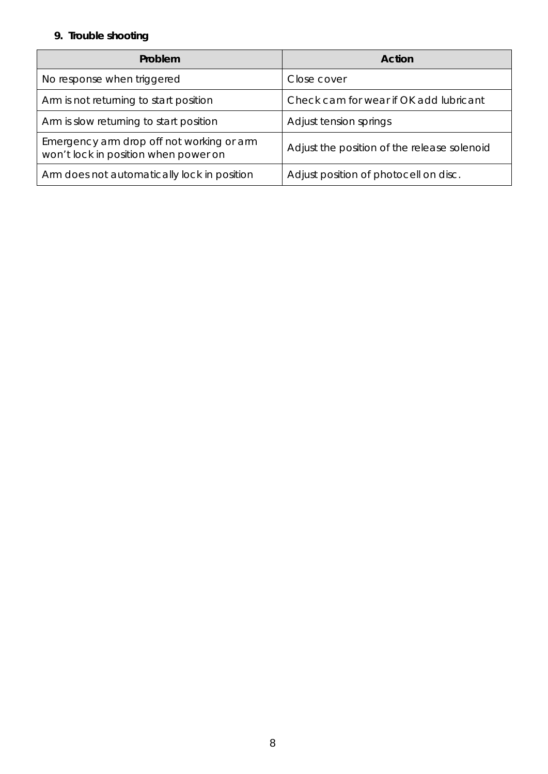## **9. Trouble shooting**

| Problem                                                                           | Action                                      |  |
|-----------------------------------------------------------------------------------|---------------------------------------------|--|
| No response when triggered                                                        | Close cover                                 |  |
| Arm is not returning to start position                                            | Check cam for wear if OK add lubricant      |  |
| Arm is slow returning to start position                                           | Adjust tension springs                      |  |
| Emergency arm drop off not working or arm<br>won't lock in position when power on | Adjust the position of the release solenoid |  |
| Arm does not automatically lock in position                                       | Adjust position of photocell on disc.       |  |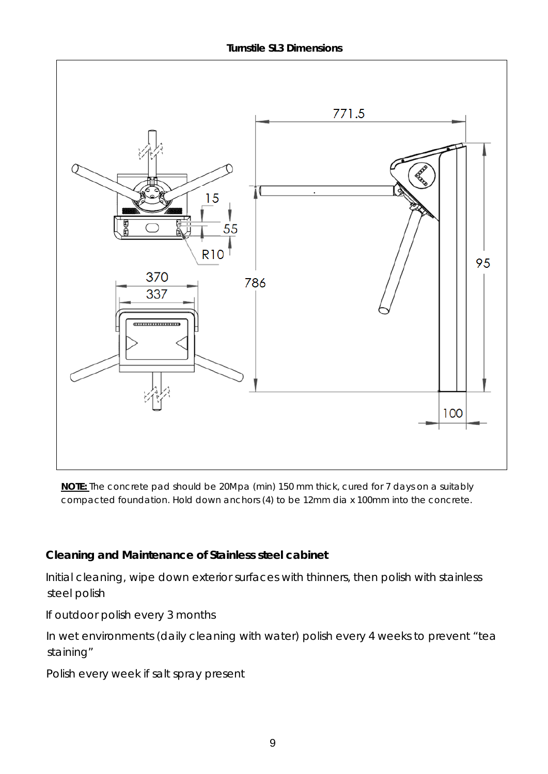**Turnstile SL3 Dimensions**



**NOTE:** The concrete pad should be 20Mpa (min) 150 mm thick, cured for 7 days on a suitably compacted foundation. Hold down anchors (4) to be 12mm dia x 100mm into the concrete.

## **Cleaning and Maintenance of Stainless steel cabinet**

Initial cleaning, wipe down exterior surfaces with thinners, then polish with stainless steel polish

If outdoor polish every 3 months

In wet environments (daily cleaning with water) polish every 4 weeks to prevent "tea staining"

Polish every week if salt spray present